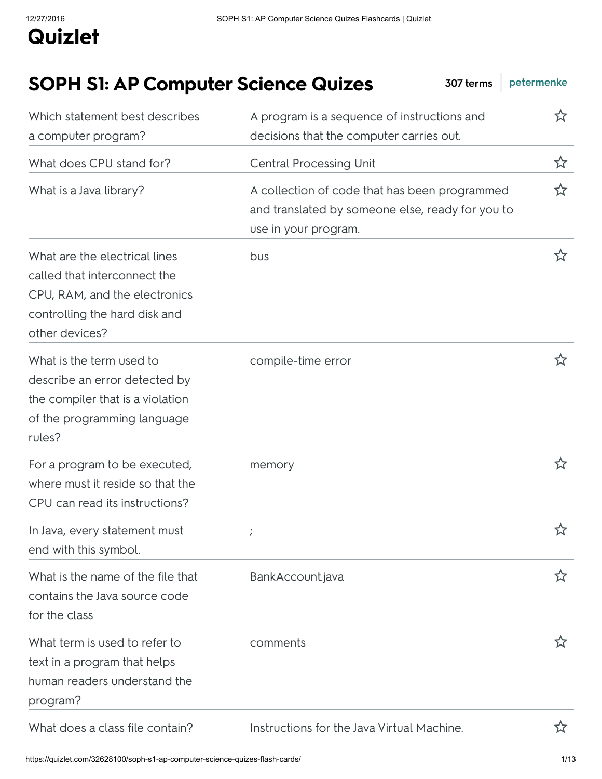## SOPH S1: AP Computer Science Quizes 307 terms [petermenke](https://quizlet.com/petermenke) Which statement best describes A program is a sequence of instructions and  $\mathbf{\hat{x}}$

| a computer program?                                                                                                                               | decisions that the computer carries out.                                                                                  |   |
|---------------------------------------------------------------------------------------------------------------------------------------------------|---------------------------------------------------------------------------------------------------------------------------|---|
| What does CPU stand for?                                                                                                                          | <b>Central Processing Unit</b>                                                                                            | ☆ |
| What is a Java library?                                                                                                                           | A collection of code that has been programmed<br>and translated by someone else, ready for you to<br>use in your program. | ☆ |
| What are the electrical lines<br>called that interconnect the<br>CPU, RAM, and the electronics<br>controlling the hard disk and<br>other devices? | bus                                                                                                                       | ☆ |
| What is the term used to<br>describe an error detected by<br>the compiler that is a violation<br>of the programming language<br>rules?            | compile-time error                                                                                                        |   |
| For a program to be executed,<br>where must it reside so that the<br>CPU can read its instructions?                                               | memory                                                                                                                    | ☆ |
| In Java, every statement must<br>end with this symbol.                                                                                            |                                                                                                                           | ☆ |
| What is the name of the file that<br>contains the Java source code<br>for the class                                                               | BankAccount.java                                                                                                          | ズ |
| What term is used to refer to<br>text in a program that helps<br>human readers understand the<br>program?                                         | comments                                                                                                                  | ☆ |
| What does a class file contain?                                                                                                                   | Instructions for the Java Virtual Machine.                                                                                |   |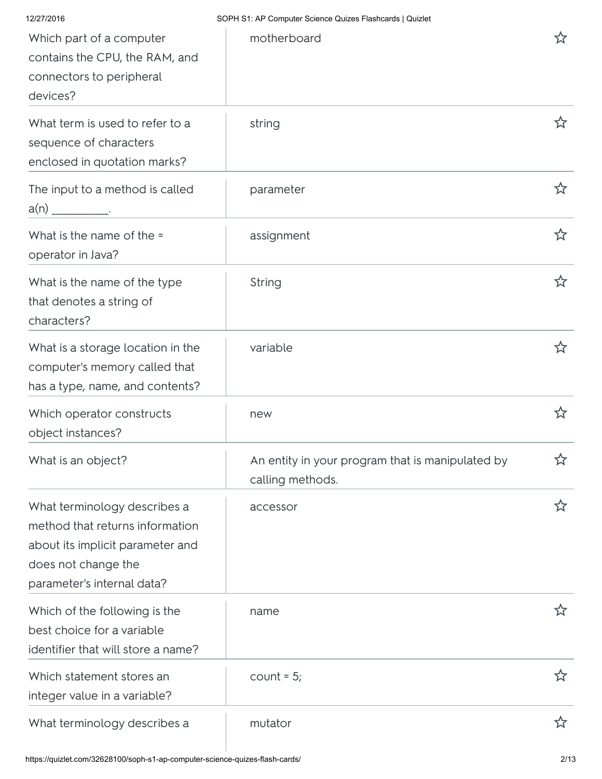| 12/27/2016                                                                                                                                               | SOPH S1: AP Computer Science Quizes Flashcards   Quizlet             |    |
|----------------------------------------------------------------------------------------------------------------------------------------------------------|----------------------------------------------------------------------|----|
| Which part of a computer<br>contains the CPU, the RAM, and<br>connectors to peripheral<br>devices?                                                       | motherboard                                                          | ኢን |
| What term is used to refer to a<br>sequence of characters<br>enclosed in quotation marks?                                                                | string                                                               |    |
| The input to a method is called<br>a(n)                                                                                                                  | parameter                                                            | ☆  |
| What is the name of the =<br>operator in Java?                                                                                                           | assignment                                                           | ☆  |
| What is the name of the type<br>that denotes a string of<br>characters?                                                                                  | String                                                               | ☆  |
| What is a storage location in the<br>computer's memory called that<br>has a type, name, and contents?                                                    | variable                                                             | ኢን |
| Which operator constructs<br>object instances?                                                                                                           | new                                                                  | ☆  |
| What is an object?                                                                                                                                       | An entity in your program that is manipulated by<br>calling methods. | ☆  |
| What terminology describes a<br>method that returns information<br>about its implicit parameter and<br>does not change the<br>parameter's internal data? | accessor                                                             | ☆  |
| Which of the following is the<br>best choice for a variable<br>identifier that will store a name?                                                        | name                                                                 | ☆  |
| Which statement stores an<br>integer value in a variable?                                                                                                | $count = 5;$                                                         | ☆  |
| What terminology describes a                                                                                                                             | mutator                                                              | ☆  |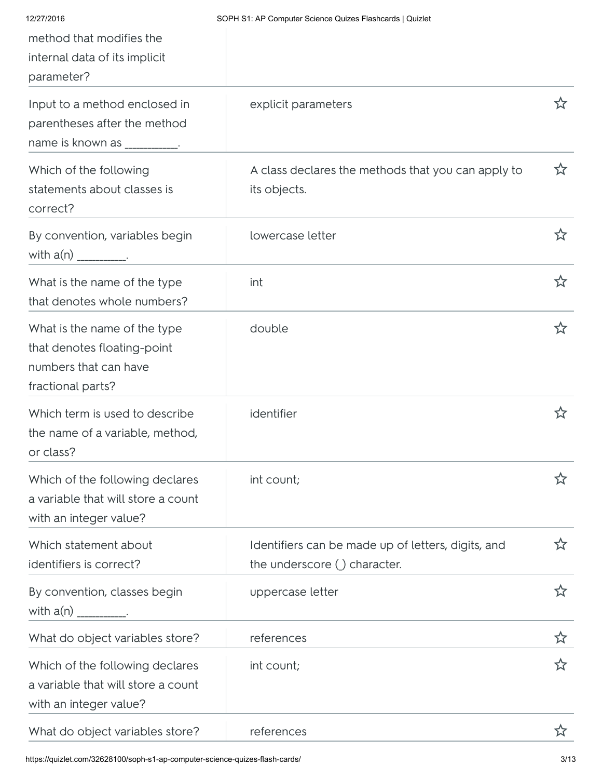| 12/27/2016<br>method that modifies the<br>internal data of its implicit<br>parameter?                     | SOPH S1: AP Computer Science Quizes Flashcards   Quizlet                             |    |
|-----------------------------------------------------------------------------------------------------------|--------------------------------------------------------------------------------------|----|
| Input to a method enclosed in<br>parentheses after the method<br>name is known as                         | explicit parameters                                                                  | ኢን |
| Which of the following<br>statements about classes is<br>correct?                                         | A class declares the methods that you can apply to<br>its objects.                   | ☆  |
| By convention, variables begin<br>with $a(n)$ ___________.                                                | lowercase letter                                                                     | ☆  |
| What is the name of the type<br>that denotes whole numbers?                                               | int                                                                                  | ☆  |
| What is the name of the type<br>that denotes floating-point<br>numbers that can have<br>fractional parts? | double                                                                               | ☆  |
| Which term is used to describe<br>the name of a variable, method,<br>or class?                            | identifier                                                                           | ☆  |
| Which of the following declares<br>a variable that will store a count<br>with an integer value?           | int count;                                                                           | ☆  |
| Which statement about<br>identifiers is correct?                                                          | Identifiers can be made up of letters, digits, and<br>the underscore $()$ character. | ☆  |
| By convention, classes begin<br>with $a(n)$ _________.                                                    | uppercase letter                                                                     | ☆  |
| What do object variables store?                                                                           | references                                                                           | ☆  |
| Which of the following declares<br>a variable that will store a count<br>with an integer value?           | int count;                                                                           | ☆  |
| What do object variables store?                                                                           | references                                                                           | ኢን |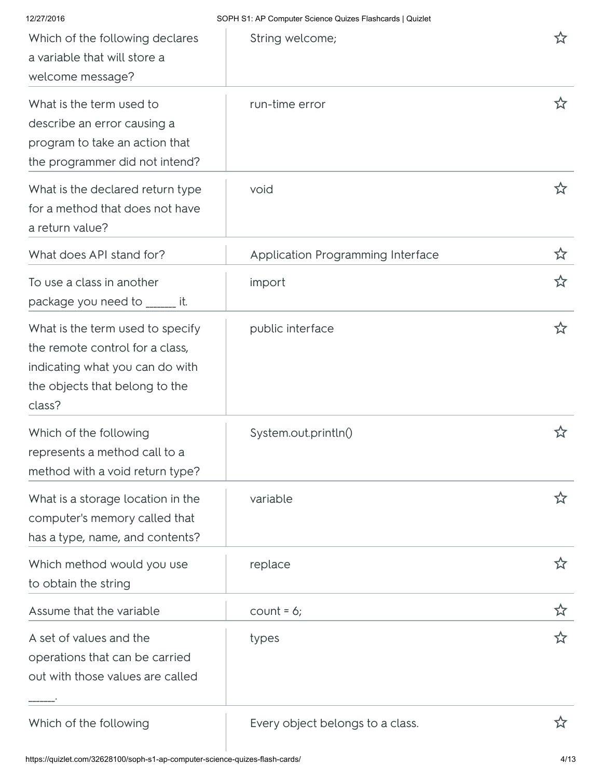| 12/27/2016                                                                                                                                         | SOPH S1: AP Computer Science Quizes Flashcards   Quizlet |   |
|----------------------------------------------------------------------------------------------------------------------------------------------------|----------------------------------------------------------|---|
| Which of the following declares<br>a variable that will store a<br>welcome message?                                                                | String welcome;                                          | 饮 |
| What is the term used to<br>describe an error causing a<br>program to take an action that<br>the programmer did not intend?                        | run-time error                                           | ☆ |
| What is the declared return type<br>for a method that does not have<br>a return value?                                                             | void                                                     |   |
| What does API stand for?                                                                                                                           | Application Programming Interface                        | ☆ |
| To use a class in another<br>package you need to ______ it.                                                                                        | import                                                   | ☆ |
| What is the term used to specify<br>the remote control for a class,<br>indicating what you can do with<br>the objects that belong to the<br>class? | public interface                                         | ☆ |
| Which of the following<br>represents a method call to a<br>method with a void return type?                                                         | System.out.println()                                     | ☆ |
| What is a storage location in the<br>computer's memory called that<br>has a type, name, and contents?                                              | variable                                                 | ☆ |
| Which method would you use<br>to obtain the string                                                                                                 | replace                                                  | ☆ |
| Assume that the variable                                                                                                                           | $count = 6$ ;                                            | ☆ |
| A set of values and the<br>operations that can be carried<br>out with those values are called                                                      | types                                                    | ☆ |
| Which of the following                                                                                                                             | Every object belongs to a class.                         |   |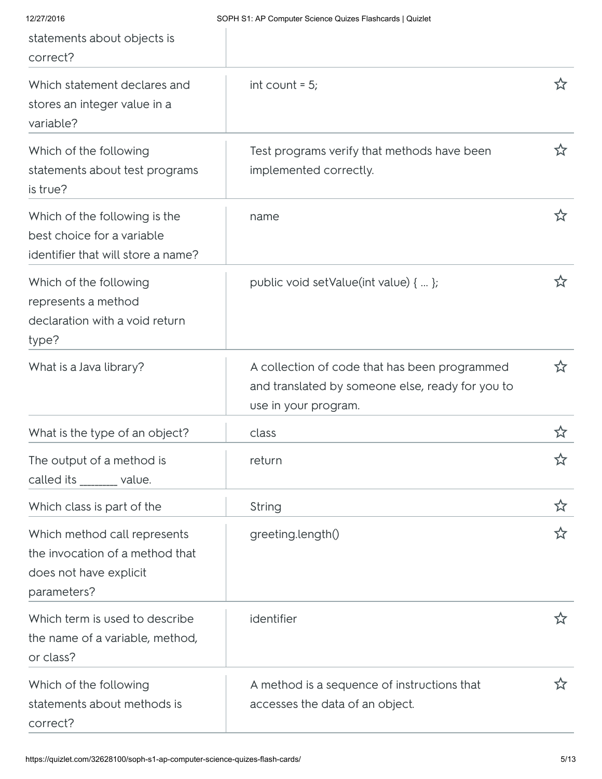| 12/27/2016<br>statements about objects is<br>correct?                                                    | SOPH S1: AP Computer Science Quizes Flashcards   Quizlet                                                                  |    |
|----------------------------------------------------------------------------------------------------------|---------------------------------------------------------------------------------------------------------------------------|----|
| Which statement declares and<br>stores an integer value in a<br>variable?                                | int count $= 5$ ;                                                                                                         | ☆  |
| Which of the following<br>statements about test programs<br>is true?                                     | Test programs verify that methods have been<br>implemented correctly.                                                     | ☆  |
| Which of the following is the<br>best choice for a variable<br>identifier that will store a name?        | name                                                                                                                      | ☆  |
| Which of the following<br>represents a method<br>declaration with a void return<br>type?                 | public void setValue(int value) {  };                                                                                     | ☆  |
| What is a Java library?                                                                                  | A collection of code that has been programmed<br>and translated by someone else, ready for you to<br>use in your program. | ኢን |
| What is the type of an object?                                                                           | class                                                                                                                     | ☆  |
| The output of a method is<br>called its _______ value.                                                   | return                                                                                                                    | ☆  |
| Which class is part of the                                                                               | String                                                                                                                    | ☆  |
| Which method call represents<br>the invocation of a method that<br>does not have explicit<br>parameters? | greeting.length()                                                                                                         | ☆  |
| Which term is used to describe<br>the name of a variable, method,<br>or class?                           | identifier                                                                                                                | ☆  |
| Which of the following<br>statements about methods is<br>correct?                                        | A method is a sequence of instructions that<br>accesses the data of an object.                                            | ኢን |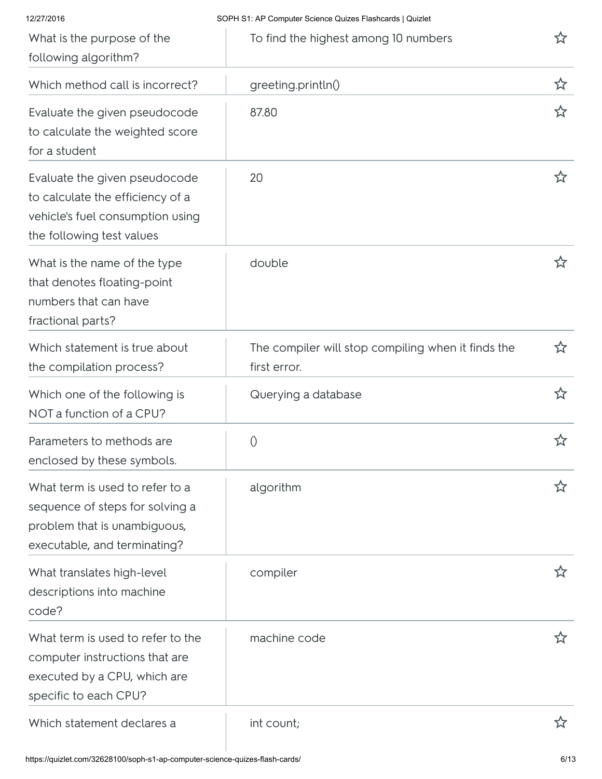| 12/27/2016                                                                                                                         | SOPH S1: AP Computer Science Quizes Flashcards   Quizlet           |   |
|------------------------------------------------------------------------------------------------------------------------------------|--------------------------------------------------------------------|---|
| What is the purpose of the<br>following algorithm?                                                                                 | To find the highest among 10 numbers                               |   |
| Which method call is incorrect?                                                                                                    | greeting.println()                                                 | ☆ |
| Evaluate the given pseudocode<br>to calculate the weighted score<br>for a student                                                  | 87.80                                                              | ☆ |
| Evaluate the given pseudocode<br>to calculate the efficiency of a<br>vehicle's fuel consumption using<br>the following test values | 20                                                                 | ☆ |
| What is the name of the type<br>that denotes floating-point<br>numbers that can have<br>fractional parts?                          | double                                                             | ☆ |
| Which statement is true about<br>the compilation process?                                                                          | The compiler will stop compiling when it finds the<br>first error. | ☆ |
| Which one of the following is<br>NOT a function of a CPU?                                                                          | Querying a database                                                | ☆ |
| Parameters to methods are<br>enclosed by these symbols.                                                                            | 0                                                                  | ☆ |
| What term is used to refer to a<br>sequence of steps for solving a<br>problem that is unambiguous,<br>executable, and terminating? | algorithm                                                          | ☆ |
| What translates high-level<br>descriptions into machine<br>code?                                                                   | compiler                                                           | ☆ |
| What term is used to refer to the<br>computer instructions that are<br>executed by a CPU, which are<br>specific to each CPU?       | machine code                                                       | ☆ |
| Which statement declares a                                                                                                         | int count;                                                         |   |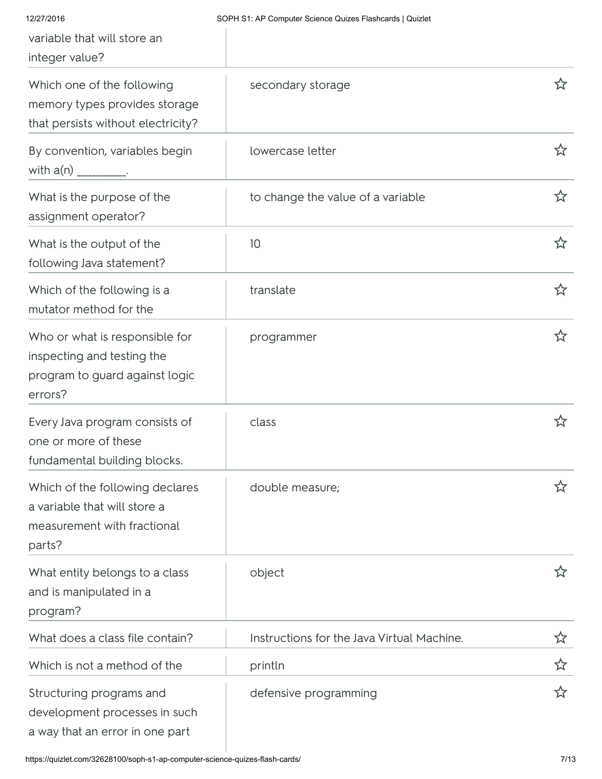| 12/27/2016<br>variable that will store an<br>integer value?                                               | SOPH S1: AP Computer Science Quizes Flashcards   Quizlet |   |
|-----------------------------------------------------------------------------------------------------------|----------------------------------------------------------|---|
| Which one of the following<br>memory types provides storage<br>that persists without electricity?         | secondary storage                                        | ☆ |
| By convention, variables begin<br>with $a(n)$ ___________.                                                | lowercase letter                                         | ☆ |
| What is the purpose of the<br>assignment operator?                                                        | to change the value of a variable                        | ☆ |
| What is the output of the<br>following Java statement?                                                    | 10                                                       | ☆ |
| Which of the following is a<br>mutator method for the                                                     | translate                                                | ☆ |
| Who or what is responsible for<br>inspecting and testing the<br>program to guard against logic<br>errors? | programmer                                               | ☆ |
| Every Java program consists of<br>one or more of these<br>fundamental building blocks.                    | class                                                    | ☆ |
| Which of the following declares<br>a variable that will store a<br>measurement with fractional<br>parts?  | double measure;                                          | ☆ |
| What entity belongs to a class<br>and is manipulated in a<br>program?                                     | object                                                   | ☆ |
| What does a class file contain?                                                                           | Instructions for the Java Virtual Machine.               | ☆ |
| Which is not a method of the                                                                              | println                                                  | ☆ |
| Structuring programs and<br>development processes in such<br>a way that an error in one part              | defensive programming                                    | ☆ |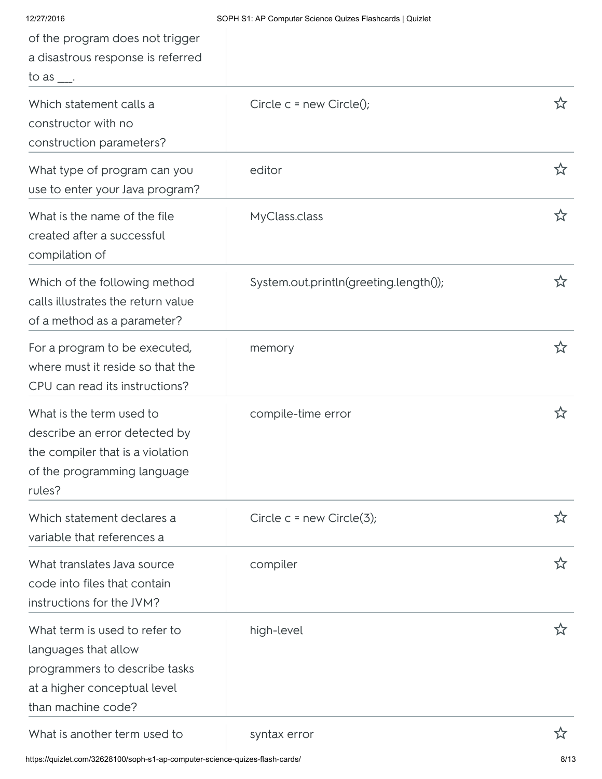| 12/27/2016<br>of the program does not trigger<br>a disastrous response is referred<br>to as $\frac{1}{1}$ .                                  | SOPH S1: AP Computer Science Quizes Flashcards   Quizlet |            |
|----------------------------------------------------------------------------------------------------------------------------------------------|----------------------------------------------------------|------------|
| Which statement calls a<br>constructor with no<br>construction parameters?                                                                   | Circle $c = new Circle()$ ;                              | <u>ኒ</u> ን |
| What type of program can you<br>use to enter your Java program?                                                                              | editor                                                   | ☆          |
| What is the name of the file<br>created after a successful<br>compilation of                                                                 | MyClass.class                                            | ☆          |
| Which of the following method<br>calls illustrates the return value<br>of a method as a parameter?                                           | System.out.println(greeting.length());                   | ☆          |
| For a program to be executed,<br>where must it reside so that the<br>CPU can read its instructions?                                          | memory                                                   | ☆          |
| What is the term used to<br>describe an error detected by<br>the compiler that is a violation<br>of the programming language<br>rules?       | compile-time error                                       | ☆          |
| Which statement declares a<br>variable that references a                                                                                     | Circle $c = new Circle(3);$                              | ☆          |
| What translates Java source<br>code into files that contain<br>instructions for the JVM?                                                     | compiler                                                 | ☆          |
| What term is used to refer to<br>languages that allow<br>programmers to describe tasks<br>at a higher conceptual level<br>than machine code? | high-level                                               | ኢን         |
| What is another term used to                                                                                                                 | syntax error                                             | ☆          |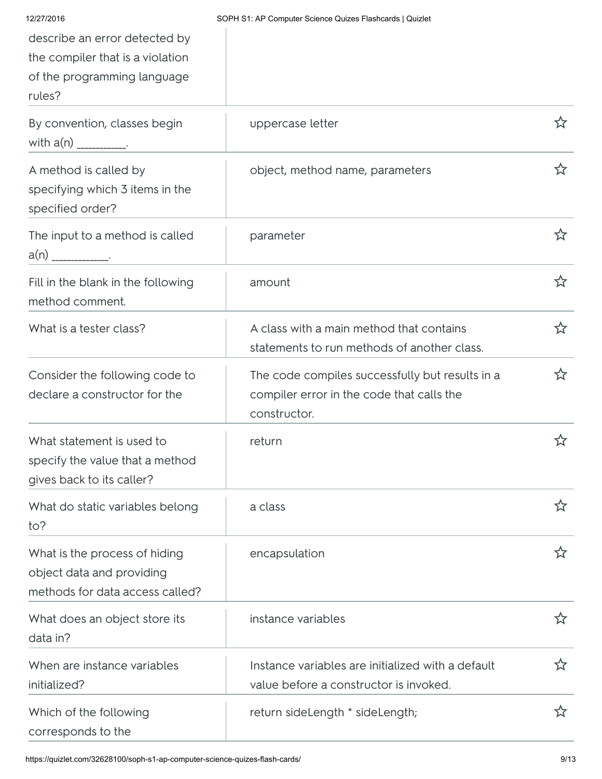| 12/27/2016                                                                                                 | SOPH S1: AP Computer Science Quizes Flashcards   Quizlet                                                     |    |
|------------------------------------------------------------------------------------------------------------|--------------------------------------------------------------------------------------------------------------|----|
| describe an error detected by<br>the compiler that is a violation<br>of the programming language<br>rules? |                                                                                                              |    |
| By convention, classes begin<br>with $a(n)$ ___________.                                                   | uppercase letter                                                                                             | ኢን |
| A method is called by<br>specifying which 3 items in the<br>specified order?                               | object, method name, parameters                                                                              | ☆  |
| The input to a method is called<br>a(n) _____________.                                                     | parameter                                                                                                    | ☆  |
| Fill in the blank in the following<br>method comment.                                                      | amount                                                                                                       | ☆  |
| What is a tester class?                                                                                    | A class with a main method that contains<br>statements to run methods of another class.                      | ☆  |
| Consider the following code to<br>declare a constructor for the                                            | The code compiles successfully but results in a<br>compiler error in the code that calls the<br>constructor. | ☆  |
| What statement is used to<br>specify the value that a method<br>gives back to its caller?                  | return                                                                                                       |    |
| What do static variables belong<br>to?                                                                     | a class                                                                                                      | ☆  |
| What is the process of hiding<br>object data and providing<br>methods for data access called?              | encapsulation                                                                                                | ☆  |
| What does an object store its<br>data in?                                                                  | instance variables                                                                                           | ☆  |
| When are instance variables<br>initialized?                                                                | Instance variables are initialized with a default<br>value before a constructor is invoked.                  | ☆  |
| Which of the following<br>corresponds to the                                                               | return sideLength * sideLength;                                                                              | ☆  |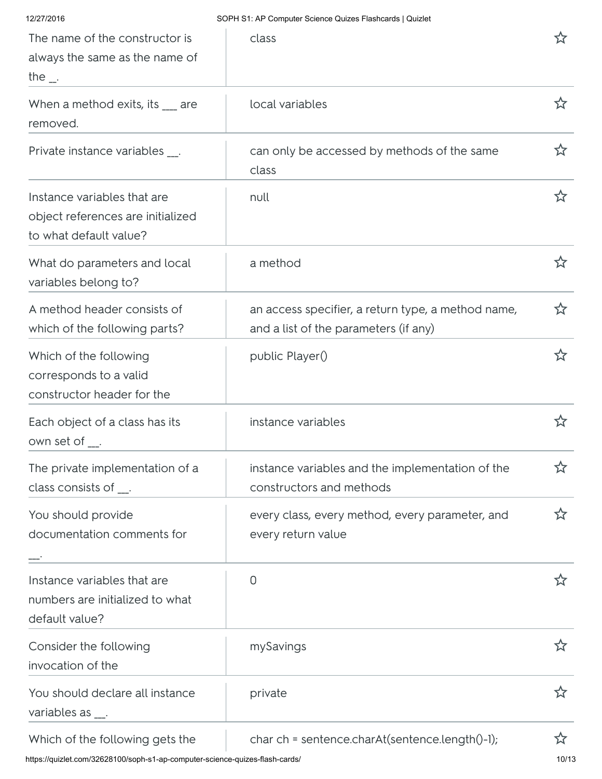| 12/27/2016                                                                                         | SOPH S1: AP Computer Science Quizes Flashcards   Quizlet                                    |   |
|----------------------------------------------------------------------------------------------------|---------------------------------------------------------------------------------------------|---|
| The name of the constructor is<br>always the same as the name of<br>the $\overline{\phantom{a}}$ . | class                                                                                       |   |
| When a method exits, its __ are<br>removed.                                                        | local variables                                                                             | ☆ |
| Private instance variables __.                                                                     | can only be accessed by methods of the same<br>class                                        | ☆ |
| Instance variables that are<br>object references are initialized<br>to what default value?         | null                                                                                        | ☆ |
| What do parameters and local<br>variables belong to?                                               | a method                                                                                    | ☆ |
| A method header consists of<br>which of the following parts?                                       | an access specifier, a return type, a method name,<br>and a list of the parameters (if any) | ☆ |
| Which of the following<br>corresponds to a valid<br>constructor header for the                     | public Player()                                                                             | ☆ |
| Each object of a class has its<br>own set of ___.                                                  | instance variables                                                                          |   |
| The private implementation of a<br>class consists of $\frac{1}{2}$ .                               | instance variables and the implementation of the<br>constructors and methods                | ☆ |
| You should provide<br>documentation comments for                                                   | every class, every method, every parameter, and<br>every return value                       | ☆ |
| Instance variables that are<br>numbers are initialized to what<br>default value?                   | $\Omega$                                                                                    | な |
| Consider the following<br>invocation of the                                                        | mySavings                                                                                   | ☆ |
| You should declare all instance<br>variables as __.                                                | private                                                                                     | ☆ |
| Which of the following gets the                                                                    | char ch = sentence.charAt(sentence.length()-1);                                             | ☆ |

https://quizlet.com/32628100/soph-s1-ap-computer-science-quizes-flash-cards/ 10/13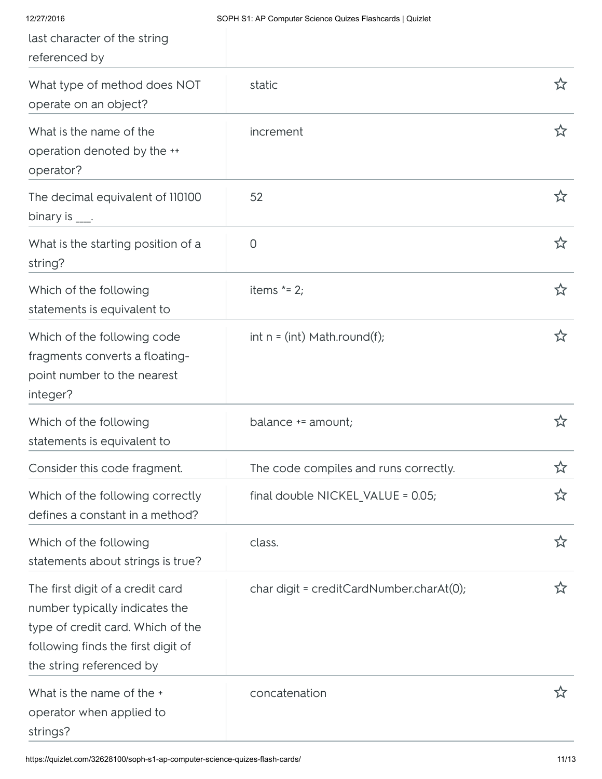| 12/27/2016<br>last character of the string<br>referenced by                                                                                                               | SOPH S1: AP Computer Science Quizes Flashcards   Quizlet |   |
|---------------------------------------------------------------------------------------------------------------------------------------------------------------------------|----------------------------------------------------------|---|
| What type of method does NOT<br>operate on an object?                                                                                                                     | static                                                   | ☆ |
| What is the name of the<br>operation denoted by the **<br>operator?                                                                                                       | increment                                                | ☆ |
| The decimal equivalent of 110100<br>binary is $\frac{1}{1}$ .                                                                                                             | 52                                                       | ☆ |
| What is the starting position of a<br>string?                                                                                                                             | $\overline{0}$                                           | ☆ |
| Which of the following<br>statements is equivalent to                                                                                                                     | items $* = 2$ ;                                          | ☆ |
| Which of the following code<br>fragments converts a floating-<br>point number to the nearest<br>integer?                                                                  | $int n = (int) Math. round(f);$                          | ☆ |
| Which of the following<br>statements is equivalent to                                                                                                                     | balance += amount;                                       | ☆ |
| Consider this code fragment.                                                                                                                                              | The code compiles and runs correctly.                    | ☆ |
| Which of the following correctly<br>defines a constant in a method?                                                                                                       | final double NICKEL_VALUE = 0.05;                        | ☆ |
| Which of the following<br>statements about strings is true?                                                                                                               | class.                                                   | ☆ |
| The first digit of a credit card<br>number typically indicates the<br>type of credit card. Which of the<br>following finds the first digit of<br>the string referenced by | char digit = creditCardNumber.charAt(0);                 | ☆ |
| What is the name of the +<br>operator when applied to<br>strings?                                                                                                         | concatenation                                            |   |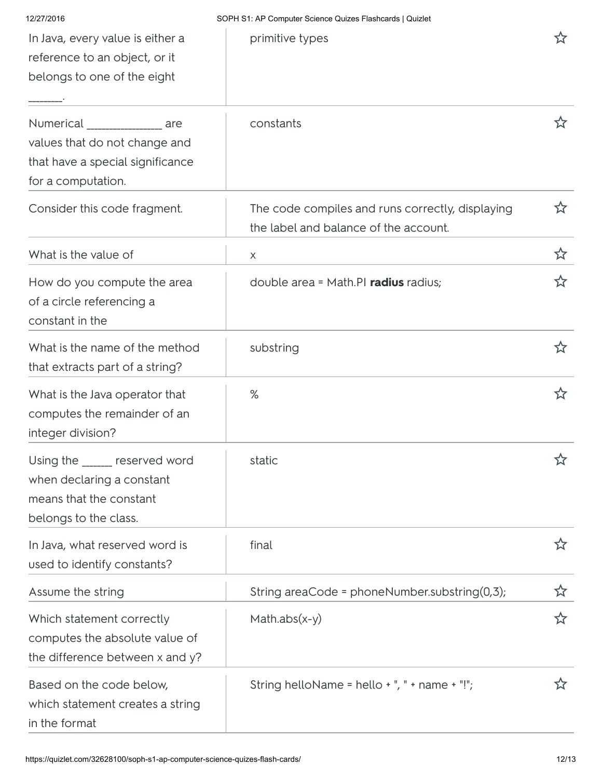| 12/27/2016                                                                                                                | SOPH S1: AP Computer Science Quizes Flashcards   Quizlet                                  |    |
|---------------------------------------------------------------------------------------------------------------------------|-------------------------------------------------------------------------------------------|----|
| In Java, every value is either a<br>reference to an object, or it<br>belongs to one of the eight                          | primitive types                                                                           | ☆  |
| Numerical ________________ are<br>values that do not change and<br>that have a special significance<br>for a computation. | constants                                                                                 | ☆  |
| Consider this code fragment.                                                                                              | The code compiles and runs correctly, displaying<br>the label and balance of the account. | ☆  |
| What is the value of                                                                                                      | $\times$                                                                                  | ☆  |
| How do you compute the area<br>of a circle referencing a<br>constant in the                                               | double area = Math.PI radius radius;                                                      | ☆  |
| What is the name of the method<br>that extracts part of a string?                                                         | substring                                                                                 | ☆  |
| What is the Java operator that<br>computes the remainder of an<br>integer division?                                       | %                                                                                         | ☆  |
| Using the ______ reserved word<br>when declaring a constant<br>means that the constant<br>belongs to the class.           | static                                                                                    | ☆  |
| In Java, what reserved word is<br>used to identify constants?                                                             | final                                                                                     | ☆  |
| Assume the string                                                                                                         | String areaCode = phoneNumber.substring(0,3);                                             | ☆  |
| Which statement correctly<br>computes the absolute value of<br>the difference between x and y?                            | Math.abs $(x-y)$                                                                          | ☆  |
| Based on the code below,<br>which statement creates a string<br>in the format                                             | String helloName = hello $+$ ", " + name $+$ "!";                                         | ኢን |